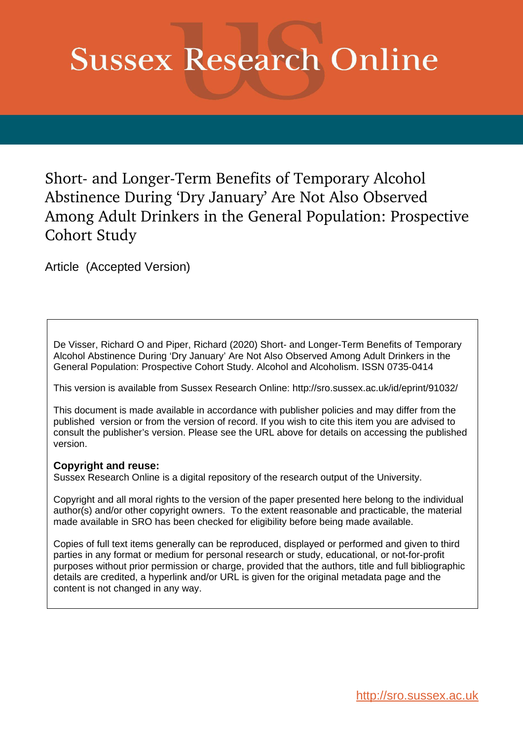# **Sussex Research Online**

Short- and Longer-Term Benefits of Temporary Alcohol Abstinence During 'Dry January' Are Not Also Observed Among Adult Drinkers in the General Population: Prospective Cohort Study

Article (Accepted Version)

De Visser, Richard O and Piper, Richard (2020) Short- and Longer-Term Benefits of Temporary Alcohol Abstinence During 'Dry January' Are Not Also Observed Among Adult Drinkers in the General Population: Prospective Cohort Study. Alcohol and Alcoholism. ISSN 0735-0414

This version is available from Sussex Research Online: http://sro.sussex.ac.uk/id/eprint/91032/

This document is made available in accordance with publisher policies and may differ from the published version or from the version of record. If you wish to cite this item you are advised to consult the publisher's version. Please see the URL above for details on accessing the published version.

## **Copyright and reuse:**

Sussex Research Online is a digital repository of the research output of the University.

Copyright and all moral rights to the version of the paper presented here belong to the individual author(s) and/or other copyright owners. To the extent reasonable and practicable, the material made available in SRO has been checked for eligibility before being made available.

Copies of full text items generally can be reproduced, displayed or performed and given to third parties in any format or medium for personal research or study, educational, or not-for-profit purposes without prior permission or charge, provided that the authors, title and full bibliographic details are credited, a hyperlink and/or URL is given for the original metadata page and the content is not changed in any way.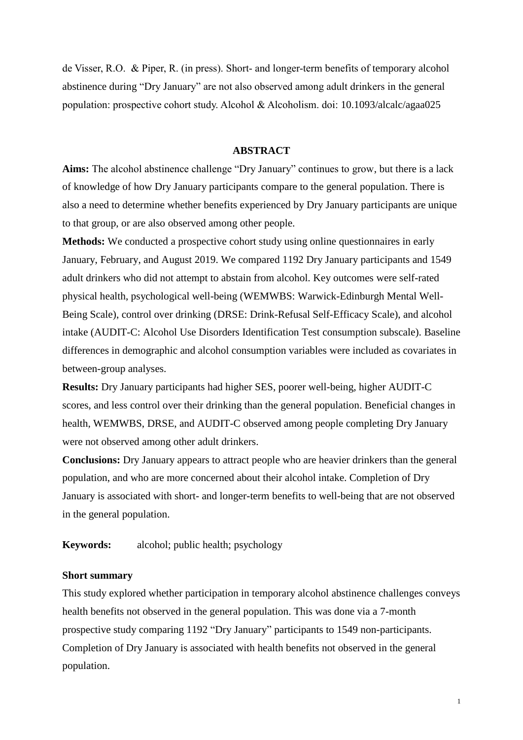de Visser, R.O. & Piper, R. (in press). Short- and longer-term benefits of temporary alcohol abstinence during "Dry January" are not also observed among adult drinkers in the general population: prospective cohort study. Alcohol & Alcoholism. doi: 10.1093/alcalc/agaa025

## **ABSTRACT**

**Aims:** The alcohol abstinence challenge "Dry January" continues to grow, but there is a lack of knowledge of how Dry January participants compare to the general population. There is also a need to determine whether benefits experienced by Dry January participants are unique to that group, or are also observed among other people.

**Methods:** We conducted a prospective cohort study using online questionnaires in early January, February, and August 2019. We compared 1192 Dry January participants and 1549 adult drinkers who did not attempt to abstain from alcohol. Key outcomes were self-rated physical health, psychological well-being (WEMWBS: Warwick-Edinburgh Mental Well-Being Scale), control over drinking (DRSE: Drink-Refusal Self-Efficacy Scale), and alcohol intake (AUDIT-C: Alcohol Use Disorders Identification Test consumption subscale). Baseline differences in demographic and alcohol consumption variables were included as covariates in between-group analyses.

**Results:** Dry January participants had higher SES, poorer well-being, higher AUDIT-C scores, and less control over their drinking than the general population. Beneficial changes in health, WEMWBS, DRSE, and AUDIT-C observed among people completing Dry January were not observed among other adult drinkers.

**Conclusions:** Dry January appears to attract people who are heavier drinkers than the general population, and who are more concerned about their alcohol intake. Completion of Dry January is associated with short- and longer-term benefits to well-being that are not observed in the general population.

**Keywords:** alcohol; public health; psychology

## **Short summary**

This study explored whether participation in temporary alcohol abstinence challenges conveys health benefits not observed in the general population. This was done via a 7-month prospective study comparing 1192 "Dry January" participants to 1549 non-participants. Completion of Dry January is associated with health benefits not observed in the general population.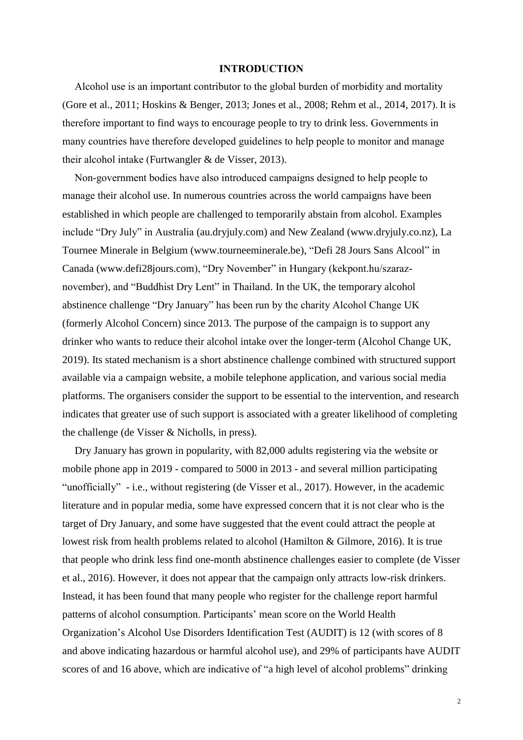#### **INTRODUCTION**

Alcohol use is an important contributor to the global burden of morbidity and mortality (Gore et al., 2011; Hoskins & Benger, 2013; Jones et al., 2008; Rehm et al., 2014, 2017). It is therefore important to find ways to encourage people to try to drink less. Governments in many countries have therefore developed guidelines to help people to monitor and manage their alcohol intake (Furtwangler & de Visser, 2013).

Non-government bodies have also introduced campaigns designed to help people to manage their alcohol use. In numerous countries across the world campaigns have been established in which people are challenged to temporarily abstain from alcohol. Examples include "Dry July" in Australia (au.dryjuly.com) and New Zealand (www.dryjuly.co.nz), La Tournee Minerale in Belgium (www.tourneeminerale.be), "Defi 28 Jours Sans Alcool" in Canada (www.defi28jours.com), "Dry November" in Hungary (kekpont.hu/szaraznovember), and "Buddhist Dry Lent" in Thailand. In the UK, the temporary alcohol abstinence challenge "Dry January" has been run by the charity Alcohol Change UK (formerly Alcohol Concern) since 2013. The purpose of the campaign is to support any drinker who wants to reduce their alcohol intake over the longer-term (Alcohol Change UK, 2019). Its stated mechanism is a short abstinence challenge combined with structured support available via a campaign website, a mobile telephone application, and various social media platforms. The organisers consider the support to be essential to the intervention, and research indicates that greater use of such support is associated with a greater likelihood of completing the challenge (de Visser & Nicholls, in press).

Dry January has grown in popularity, with 82,000 adults registering via the website or mobile phone app in 2019 - compared to 5000 in 2013 - and several million participating "unofficially" - i.e., without registering (de Visser et al., 2017). However, in the academic literature and in popular media, some have expressed concern that it is not clear who is the target of Dry January, and some have suggested that the event could attract the people at lowest risk from health problems related to alcohol (Hamilton & Gilmore, 2016). It is true that people who drink less find one-month abstinence challenges easier to complete (de Visser et al., 2016). However, it does not appear that the campaign only attracts low-risk drinkers. Instead, it has been found that many people who register for the challenge report harmful patterns of alcohol consumption. Participants' mean score on the World Health Organization's Alcohol Use Disorders Identification Test (AUDIT) is 12 (with scores of 8 and above indicating hazardous or harmful alcohol use), and 29% of participants have AUDIT scores of and 16 above, which are indicative of "a high level of alcohol problems" drinking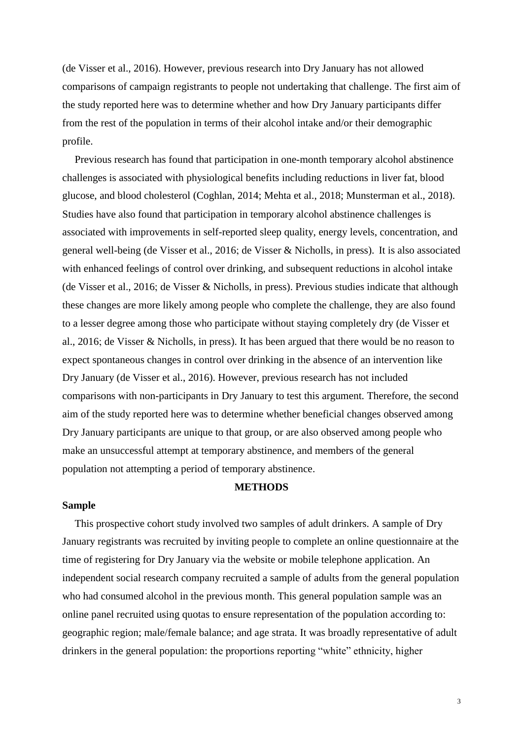(de Visser et al., 2016). However, previous research into Dry January has not allowed comparisons of campaign registrants to people not undertaking that challenge. The first aim of the study reported here was to determine whether and how Dry January participants differ from the rest of the population in terms of their alcohol intake and/or their demographic profile.

Previous research has found that participation in one-month temporary alcohol abstinence challenges is associated with physiological benefits including reductions in liver fat, blood glucose, and blood cholesterol (Coghlan, 2014; Mehta et al., 2018; Munsterman et al., 2018). Studies have also found that participation in temporary alcohol abstinence challenges is associated with improvements in self-reported sleep quality, energy levels, concentration, and general well-being (de Visser et al., 2016; de Visser & Nicholls, in press). It is also associated with enhanced feelings of control over drinking, and subsequent reductions in alcohol intake (de Visser et al., 2016; de Visser & Nicholls, in press). Previous studies indicate that although these changes are more likely among people who complete the challenge, they are also found to a lesser degree among those who participate without staying completely dry (de Visser et al., 2016; de Visser & Nicholls, in press). It has been argued that there would be no reason to expect spontaneous changes in control over drinking in the absence of an intervention like Dry January (de Visser et al., 2016). However, previous research has not included comparisons with non-participants in Dry January to test this argument. Therefore, the second aim of the study reported here was to determine whether beneficial changes observed among Dry January participants are unique to that group, or are also observed among people who make an unsuccessful attempt at temporary abstinence, and members of the general population not attempting a period of temporary abstinence.

## **METHODS**

#### **Sample**

This prospective cohort study involved two samples of adult drinkers. A sample of Dry January registrants was recruited by inviting people to complete an online questionnaire at the time of registering for Dry January via the website or mobile telephone application. An independent social research company recruited a sample of adults from the general population who had consumed alcohol in the previous month. This general population sample was an online panel recruited using quotas to ensure representation of the population according to: geographic region; male/female balance; and age strata. It was broadly representative of adult drinkers in the general population: the proportions reporting "white" ethnicity, higher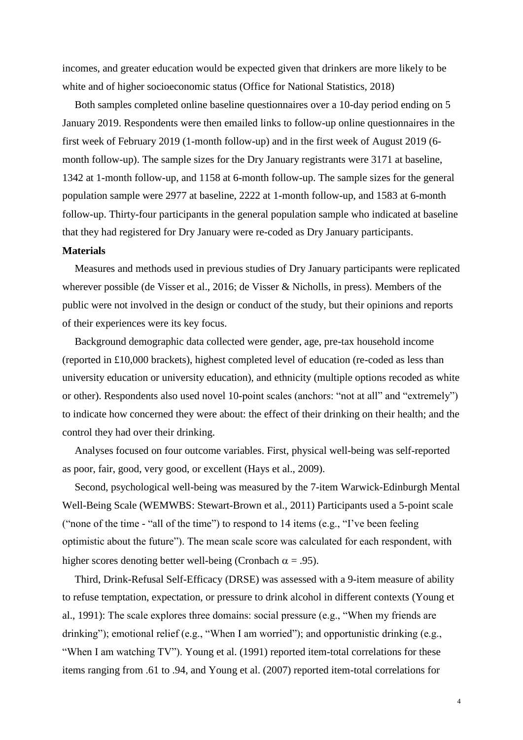incomes, and greater education would be expected given that drinkers are more likely to be white and of higher socioeconomic status (Office for National Statistics, 2018)

Both samples completed online baseline questionnaires over a 10-day period ending on 5 January 2019. Respondents were then emailed links to follow-up online questionnaires in the first week of February 2019 (1-month follow-up) and in the first week of August 2019 (6 month follow-up). The sample sizes for the Dry January registrants were 3171 at baseline, 1342 at 1-month follow-up, and 1158 at 6-month follow-up. The sample sizes for the general population sample were 2977 at baseline, 2222 at 1-month follow-up, and 1583 at 6-month follow-up. Thirty-four participants in the general population sample who indicated at baseline that they had registered for Dry January were re-coded as Dry January participants.

#### **Materials**

Measures and methods used in previous studies of Dry January participants were replicated wherever possible (de Visser et al., 2016; de Visser & Nicholls, in press). Members of the public were not involved in the design or conduct of the study, but their opinions and reports of their experiences were its key focus.

Background demographic data collected were gender, age, pre-tax household income (reported in £10,000 brackets), highest completed level of education (re-coded as less than university education or university education), and ethnicity (multiple options recoded as white or other). Respondents also used novel 10-point scales (anchors: "not at all" and "extremely") to indicate how concerned they were about: the effect of their drinking on their health; and the control they had over their drinking.

Analyses focused on four outcome variables. First, physical well-being was self-reported as poor, fair, good, very good, or excellent (Hays et al., 2009).

Second, psychological well-being was measured by the 7-item Warwick-Edinburgh Mental Well-Being Scale (WEMWBS: Stewart-Brown et al., 2011) Participants used a 5-point scale ("none of the time - "all of the time") to respond to 14 items (e.g., "I've been feeling optimistic about the future"). The mean scale score was calculated for each respondent, with higher scores denoting better well-being (Cronbach  $\alpha = .95$ ).

Third, Drink-Refusal Self-Efficacy (DRSE) was assessed with a 9-item measure of ability to refuse temptation, expectation, or pressure to drink alcohol in different contexts (Young et al., 1991): The scale explores three domains: social pressure (e.g., "When my friends are drinking"); emotional relief (e.g., "When I am worried"); and opportunistic drinking (e.g., "When I am watching TV"). Young et al. (1991) reported item-total correlations for these items ranging from .61 to .94, and Young et al. (2007) reported item-total correlations for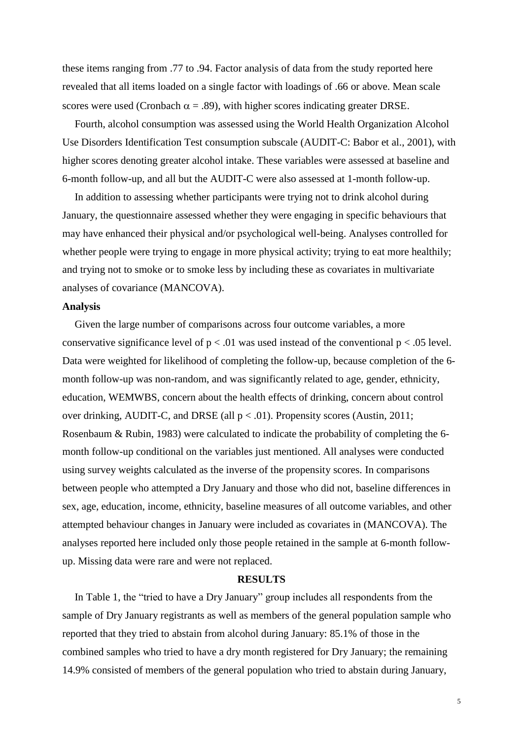these items ranging from .77 to .94. Factor analysis of data from the study reported here revealed that all items loaded on a single factor with loadings of .66 or above. Mean scale scores were used (Cronbach  $\alpha = .89$ ), with higher scores indicating greater DRSE.

Fourth, alcohol consumption was assessed using the World Health Organization Alcohol Use Disorders Identification Test consumption subscale (AUDIT-C: Babor et al., 2001), with higher scores denoting greater alcohol intake. These variables were assessed at baseline and 6-month follow-up, and all but the AUDIT-C were also assessed at 1-month follow-up.

In addition to assessing whether participants were trying not to drink alcohol during January, the questionnaire assessed whether they were engaging in specific behaviours that may have enhanced their physical and/or psychological well-being. Analyses controlled for whether people were trying to engage in more physical activity; trying to eat more healthily; and trying not to smoke or to smoke less by including these as covariates in multivariate analyses of covariance (MANCOVA).

## **Analysis**

Given the large number of comparisons across four outcome variables, a more conservative significance level of  $p < .01$  was used instead of the conventional  $p < .05$  level. Data were weighted for likelihood of completing the follow-up, because completion of the 6 month follow-up was non-random, and was significantly related to age, gender, ethnicity, education, WEMWBS, concern about the health effects of drinking, concern about control over drinking, AUDIT-C, and DRSE (all  $p < .01$ ). Propensity scores (Austin, 2011; Rosenbaum & Rubin, 1983) were calculated to indicate the probability of completing the 6 month follow-up conditional on the variables just mentioned. All analyses were conducted using survey weights calculated as the inverse of the propensity scores. In comparisons between people who attempted a Dry January and those who did not, baseline differences in sex, age, education, income, ethnicity, baseline measures of all outcome variables, and other attempted behaviour changes in January were included as covariates in (MANCOVA). The analyses reported here included only those people retained in the sample at 6-month followup. Missing data were rare and were not replaced.

### **RESULTS**

In Table 1, the "tried to have a Dry January" group includes all respondents from the sample of Dry January registrants as well as members of the general population sample who reported that they tried to abstain from alcohol during January: 85.1% of those in the combined samples who tried to have a dry month registered for Dry January; the remaining 14.9% consisted of members of the general population who tried to abstain during January,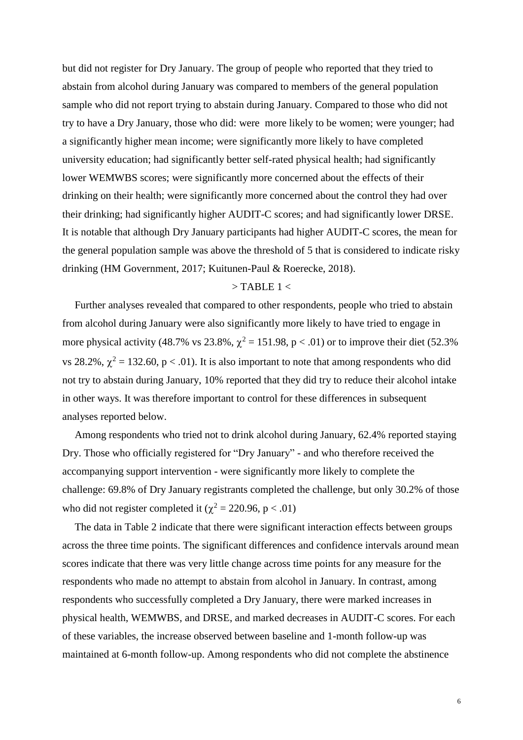but did not register for Dry January. The group of people who reported that they tried to abstain from alcohol during January was compared to members of the general population sample who did not report trying to abstain during January. Compared to those who did not try to have a Dry January, those who did: were more likely to be women; were younger; had a significantly higher mean income; were significantly more likely to have completed university education; had significantly better self-rated physical health; had significantly lower WEMWBS scores; were significantly more concerned about the effects of their drinking on their health; were significantly more concerned about the control they had over their drinking; had significantly higher AUDIT-C scores; and had significantly lower DRSE. It is notable that although Dry January participants had higher AUDIT-C scores, the mean for the general population sample was above the threshold of 5 that is considered to indicate risky drinking (HM Government, 2017; Kuitunen-Paul & Roerecke, 2018).

## $>$  TABLE 1  $<$

Further analyses revealed that compared to other respondents, people who tried to abstain from alcohol during January were also significantly more likely to have tried to engage in more physical activity (48.7% vs 23.8%,  $\chi^2 = 151.98$ , p < .01) or to improve their diet (52.3%) vs 28.2%,  $\chi^2 = 132.60$ , p < .01). It is also important to note that among respondents who did not try to abstain during January, 10% reported that they did try to reduce their alcohol intake in other ways. It was therefore important to control for these differences in subsequent analyses reported below.

Among respondents who tried not to drink alcohol during January, 62.4% reported staying Dry. Those who officially registered for "Dry January" - and who therefore received the accompanying support intervention - were significantly more likely to complete the challenge: 69.8% of Dry January registrants completed the challenge, but only 30.2% of those who did not register completed it ( $\chi^2$  = 220.96, p < .01)

The data in Table 2 indicate that there were significant interaction effects between groups across the three time points. The significant differences and confidence intervals around mean scores indicate that there was very little change across time points for any measure for the respondents who made no attempt to abstain from alcohol in January. In contrast, among respondents who successfully completed a Dry January, there were marked increases in physical health, WEMWBS, and DRSE, and marked decreases in AUDIT-C scores. For each of these variables, the increase observed between baseline and 1-month follow-up was maintained at 6-month follow-up. Among respondents who did not complete the abstinence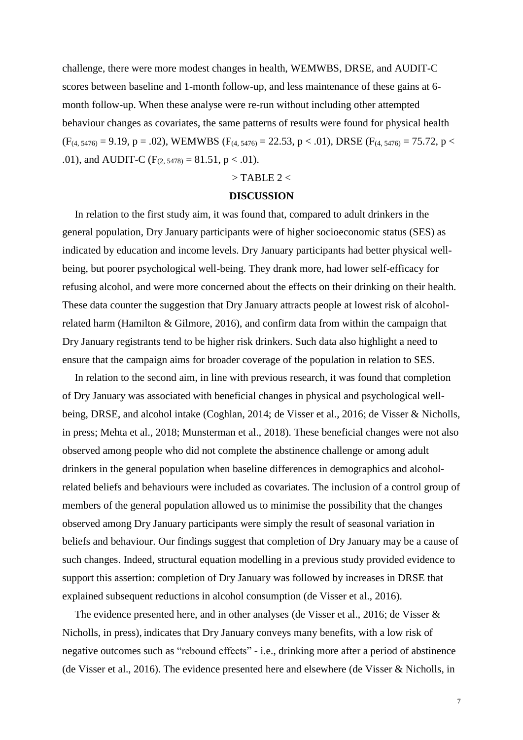challenge, there were more modest changes in health, WEMWBS, DRSE, and AUDIT-C scores between baseline and 1-month follow-up, and less maintenance of these gains at 6 month follow-up. When these analyse were re-run without including other attempted behaviour changes as covariates, the same patterns of results were found for physical health  $(F_{(4, 5476)} = 9.19, p = .02)$ , WEMWBS  $(F_{(4, 5476)} = 22.53, p < .01)$ , DRSE  $(F_{(4, 5476)} = 75.72, p < .01)$ .01), and AUDIT-C ( $F_{(2.5478)} = 81.51$ , p < .01).

## $>$  TABLE 2  $<$

#### **DISCUSSION**

In relation to the first study aim, it was found that, compared to adult drinkers in the general population, Dry January participants were of higher socioeconomic status (SES) as indicated by education and income levels. Dry January participants had better physical wellbeing, but poorer psychological well-being. They drank more, had lower self-efficacy for refusing alcohol, and were more concerned about the effects on their drinking on their health. These data counter the suggestion that Dry January attracts people at lowest risk of alcoholrelated harm (Hamilton & Gilmore, 2016), and confirm data from within the campaign that Dry January registrants tend to be higher risk drinkers. Such data also highlight a need to ensure that the campaign aims for broader coverage of the population in relation to SES.

In relation to the second aim, in line with previous research, it was found that completion of Dry January was associated with beneficial changes in physical and psychological wellbeing, DRSE, and alcohol intake (Coghlan, 2014; de Visser et al., 2016; de Visser & Nicholls, in press; Mehta et al., 2018; Munsterman et al., 2018). These beneficial changes were not also observed among people who did not complete the abstinence challenge or among adult drinkers in the general population when baseline differences in demographics and alcoholrelated beliefs and behaviours were included as covariates. The inclusion of a control group of members of the general population allowed us to minimise the possibility that the changes observed among Dry January participants were simply the result of seasonal variation in beliefs and behaviour. Our findings suggest that completion of Dry January may be a cause of such changes. Indeed, structural equation modelling in a previous study provided evidence to support this assertion: completion of Dry January was followed by increases in DRSE that explained subsequent reductions in alcohol consumption (de Visser et al., 2016).

The evidence presented here, and in other analyses (de Visser et al., 2016; de Visser & Nicholls, in press), indicates that Dry January conveys many benefits, with a low risk of negative outcomes such as "rebound effects" - i.e., drinking more after a period of abstinence (de Visser et al., 2016). The evidence presented here and elsewhere (de Visser & Nicholls, in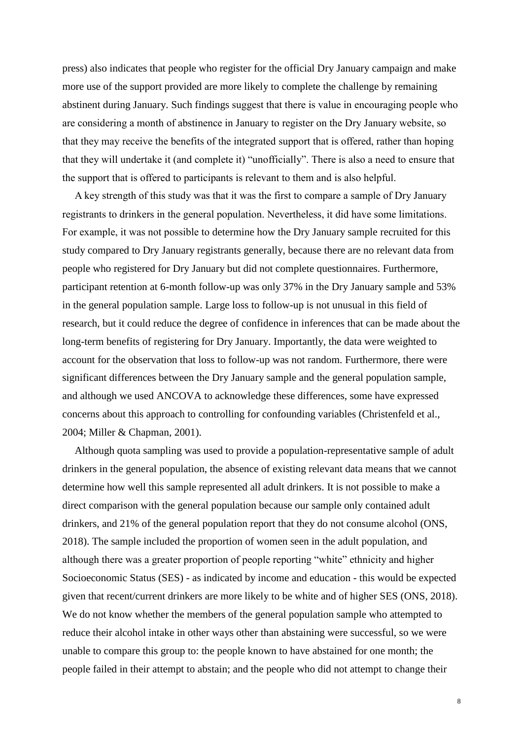press) also indicates that people who register for the official Dry January campaign and make more use of the support provided are more likely to complete the challenge by remaining abstinent during January. Such findings suggest that there is value in encouraging people who are considering a month of abstinence in January to register on the Dry January website, so that they may receive the benefits of the integrated support that is offered, rather than hoping that they will undertake it (and complete it) "unofficially". There is also a need to ensure that the support that is offered to participants is relevant to them and is also helpful.

A key strength of this study was that it was the first to compare a sample of Dry January registrants to drinkers in the general population. Nevertheless, it did have some limitations. For example, it was not possible to determine how the Dry January sample recruited for this study compared to Dry January registrants generally, because there are no relevant data from people who registered for Dry January but did not complete questionnaires. Furthermore, participant retention at 6-month follow-up was only 37% in the Dry January sample and 53% in the general population sample. Large loss to follow-up is not unusual in this field of research, but it could reduce the degree of confidence in inferences that can be made about the long-term benefits of registering for Dry January. Importantly, the data were weighted to account for the observation that loss to follow-up was not random. Furthermore, there were significant differences between the Dry January sample and the general population sample, and although we used ANCOVA to acknowledge these differences, some have expressed concerns about this approach to controlling for confounding variables (Christenfeld et al., 2004; Miller & Chapman, 2001).

Although quota sampling was used to provide a population-representative sample of adult drinkers in the general population, the absence of existing relevant data means that we cannot determine how well this sample represented all adult drinkers. It is not possible to make a direct comparison with the general population because our sample only contained adult drinkers, and 21% of the general population report that they do not consume alcohol (ONS, 2018). The sample included the proportion of women seen in the adult population, and although there was a greater proportion of people reporting "white" ethnicity and higher Socioeconomic Status (SES) - as indicated by income and education - this would be expected given that recent/current drinkers are more likely to be white and of higher SES (ONS, 2018). We do not know whether the members of the general population sample who attempted to reduce their alcohol intake in other ways other than abstaining were successful, so we were unable to compare this group to: the people known to have abstained for one month; the people failed in their attempt to abstain; and the people who did not attempt to change their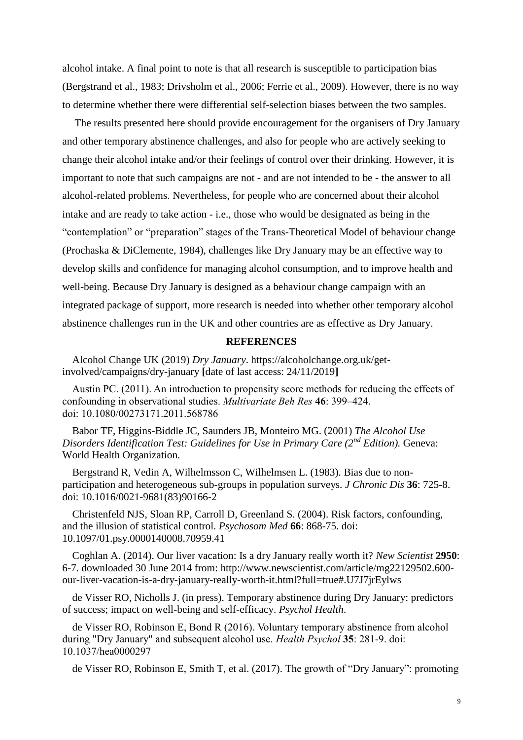alcohol intake. A final point to note is that all research is susceptible to participation bias (Bergstrand et al., 1983; Drivsholm et al., 2006; Ferrie et al., 2009). However, there is no way to determine whether there were differential self-selection biases between the two samples.

The results presented here should provide encouragement for the organisers of Dry January and other temporary abstinence challenges, and also for people who are actively seeking to change their alcohol intake and/or their feelings of control over their drinking. However, it is important to note that such campaigns are not - and are not intended to be - the answer to all alcohol-related problems. Nevertheless, for people who are concerned about their alcohol intake and are ready to take action - i.e., those who would be designated as being in the "contemplation" or "preparation" stages of the Trans-Theoretical Model of behaviour change (Prochaska & DiClemente, 1984), challenges like Dry January may be an effective way to develop skills and confidence for managing alcohol consumption, and to improve health and well-being. Because Dry January is designed as a behaviour change campaign with an integrated package of support, more research is needed into whether other temporary alcohol abstinence challenges run in the UK and other countries are as effective as Dry January.

## **REFERENCES**

Alcohol Change UK (2019) *Dry January*. https://alcoholchange.org.uk/getinvolved/campaigns/dry-january **[**date of last access: 24/11/2019**]** 

Austin PC. (2011). An introduction to propensity score methods for reducing the effects of confounding in observational studies. *Multivariate Beh Res* **46**: 399–424. doi: 10.1080/00273171.2011.568786

Babor TF, Higgins-Biddle JC, Saunders JB, Monteiro MG. (2001) *The Alcohol Use Disorders Identification Test: Guidelines for Use in Primary Care (2nd Edition).* Geneva: World Health Organization.

Bergstrand R, Vedin A, Wilhelmsson C, Wilhelmsen L. (1983). Bias due to nonparticipation and heterogeneous sub-groups in population surveys. *J Chronic Dis* **36**: 725-8. doi: 10.1016/0021-9681(83)90166-2

Christenfeld NJS, Sloan RP, Carroll D, Greenland S. (2004). Risk factors, confounding, and the illusion of statistical control. *Psychosom Med* **66**: 868-75. doi: 10.1097/01.psy.0000140008.70959.41

Coghlan A. (2014). Our liver vacation: Is a dry January really worth it? *New Scientist* **2950**: 6-7. downloaded 30 June 2014 from: http://www.newscientist.com/article/mg22129502.600 our-liver-vacation-is-a-dry-january-really-worth-it.html?full=true#.U7J7jrEylws

de Visser RO, Nicholls J. (in press). Temporary abstinence during Dry January: predictors of success; impact on well-being and self-efficacy. *Psychol Health*.

de Visser RO, Robinson E, Bond R (2016). Voluntary temporary abstinence from alcohol during "Dry January" and subsequent alcohol use. *Health Psychol* **35**: 281-9. doi: 10.1037/hea0000297

de Visser RO, Robinson E, Smith T, et al. (2017). The growth of "Dry January": promoting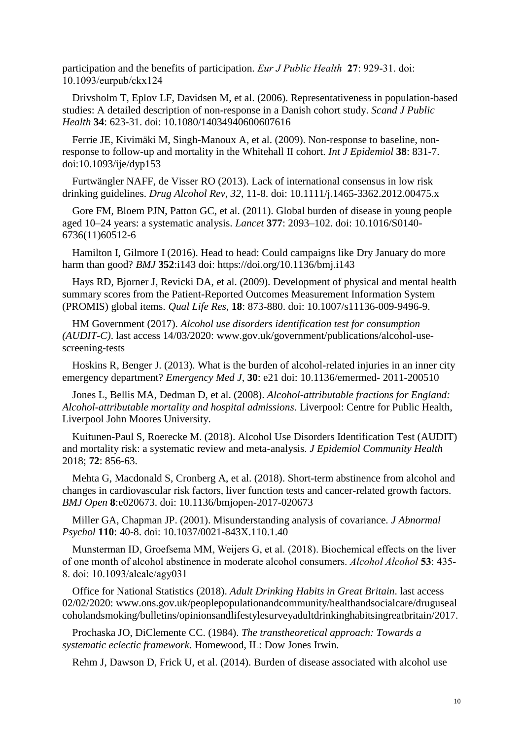participation and the benefits of participation. *Eur J Public Health* **27**: 929-31. doi: 10.1093/eurpub/ckx124

Drivsholm T, Eplov LF, Davidsen M, et al. (2006). Representativeness in population-based studies: A detailed description of non-response in a Danish cohort study. *Scand J Public Health* **34**: 623-31. doi: 10.1080/14034940600607616

Ferrie JE, Kivimäki M, Singh-Manoux A, et al. (2009). Non-response to baseline, nonresponse to follow-up and mortality in the Whitehall II cohort. *Int J Epidemiol* **38**: 831-7. doi:10.1093/ije/dyp153

Furtwängler NAFF, de Visser RO (2013). Lack of international consensus in low risk drinking guidelines. *Drug Alcohol Rev*, *32*, 11-8. doi: 10.1111/j.1465-3362.2012.00475.x

Gore FM, Bloem PJN, Patton GC, et al. (2011). Global burden of disease in young people aged 10–24 years: a systematic analysis. *Lancet* **377**: 2093–102. doi: 10.1016/S0140- 6736(11)60512-6

Hamilton I, Gilmore I (2016). Head to head: Could campaigns like Dry January do more harm than good? *BMJ* **352**:i143 doi:<https://doi.org/10.1136/bmj.i143>

Hays RD, Bjorner J, Revicki DA, et al. (2009). Development of physical and mental health summary scores from the Patient-Reported Outcomes Measurement Information System (PROMIS) global items. *Qual Life Res*, **18**: 873-880. doi: 10.1007/s11136-009-9496-9.

HM Government (2017). *Alcohol use disorders identification test for consumption (AUDIT-C)*. last access 14/03/2020: www.gov.uk/government/publications/alcohol-usescreening-tests

Hoskins R, Benger J. (2013). What is the burden of alcohol-related injuries in an inner city emergency department? *Emergency Med J*, **30**: e21 doi: 10.1136/emermed- 2011-200510

Jones L, Bellis MA, Dedman D, et al. (2008). *Alcohol-attributable fractions for England: Alcohol-attributable mortality and hospital admissions*. Liverpool: Centre for Public Health, Liverpool John Moores University.

Kuitunen-Paul S, Roerecke M. (2018). Alcohol Use Disorders Identification Test (AUDIT) and mortality risk: a systematic review and meta-analysis. *J Epidemiol Community Health* 2018; **72**: 856-63.

Mehta G, Macdonald S, Cronberg A, et al. (2018). Short-term abstinence from alcohol and changes in cardiovascular risk factors, liver function tests and cancer-related growth factors. *BMJ Open* **8**:e020673. doi: 10.1136/bmjopen-2017-020673

Miller GA, Chapman JP. (2001). Misunderstanding analysis of covariance. *J Abnormal Psychol* **110**: 40-8. doi: 10.1037/0021-843X.110.1.40

Munsterman ID, Groefsema MM, Weijers G, et al. (2018). Biochemical effects on the liver of one month of alcohol abstinence in moderate alcohol consumers. *Alcohol Alcohol* **53**: 435- 8. doi: 10.1093/alcalc/agy031

Office for National Statistics (2018). *Adult Drinking Habits in Great Britain*. last access 02/02/2020: www.ons.gov.uk/peoplepopulationandcommunity/healthandsocialcare/druguseal coholandsmoking/bulletins/opinionsandlifestylesurveyadultdrinkinghabitsingreatbritain/2017.

Prochaska JO, DiClemente CC. (1984). *The transtheoretical approach: Towards a systematic eclectic framework*. Homewood, IL: Dow Jones Irwin.

Rehm J, Dawson D, Frick U, et al. (2014). Burden of disease associated with alcohol use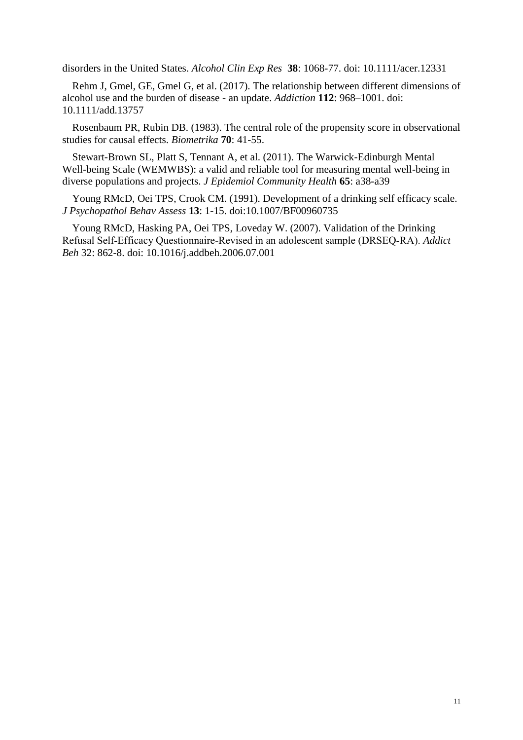disorders in the United States. *Alcohol Clin Exp Res* **38**: 1068-77. doi: 10.1111/acer.12331

Rehm J, Gmel, GE, Gmel G, et al. (2017). The relationship between different dimensions of alcohol use and the burden of disease - an update. *Addiction* **112**: 968–1001. doi: 10.1111/add.13757

Rosenbaum PR, Rubin DB. (1983). The central role of the propensity score in observational studies for causal effects. *Biometrika* **70**: 41-55.

Stewart-Brown SL, Platt S, Tennant A, et al. (2011). The Warwick-Edinburgh Mental Well-being Scale (WEMWBS): a valid and reliable tool for measuring mental well-being in diverse populations and projects. *J Epidemiol Community Health* **65**: a38-a39

Young RMcD, Oei TPS, Crook CM. (1991). Development of a drinking self efficacy scale. *J Psychopathol Behav Assess* **13**: 1-15. doi:10.1007/BF00960735

Young RMcD, Hasking PA, Oei TPS, Loveday W. (2007). Validation of the Drinking Refusal Self‐Efficacy Questionnaire-Revised in an adolescent sample (DRSEQ‐RA). *Addict Beh* 32: 862-8. doi: 10.1016/j.addbeh.2006.07.001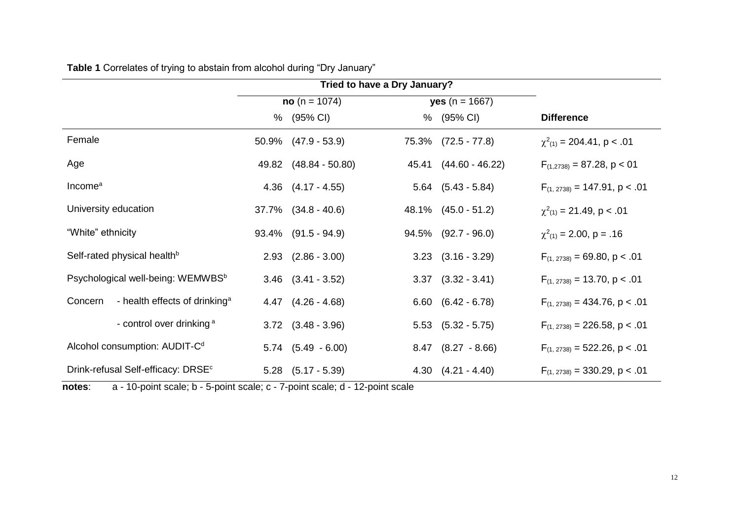|                                                      |                | Tried to have a Dry January? |                         |                            |                                    |
|------------------------------------------------------|----------------|------------------------------|-------------------------|----------------------------|------------------------------------|
|                                                      | $no(n = 1074)$ |                              | <b>yes</b> $(n = 1667)$ |                            |                                    |
|                                                      |                | % (95% CI)                   |                         | % (95% CI)                 | <b>Difference</b>                  |
| Female                                               | 50.9%          | $(47.9 - 53.9)$              |                         | 75.3% (72.5 - 77.8)        | $\chi^2_{(1)}$ = 204.41, p < .01   |
| Age                                                  |                | 49.82 (48.84 - 50.80)        |                         | 45.41 (44.60 - 46.22)      | $F_{(1,2738)} = 87.28$ , p < 01    |
| Income <sup>a</sup>                                  |                | $4.36$ $(4.17 - 4.55)$       |                         | $5.64$ $(5.43 - 5.84)$     | $F_{(1, 2738)} = 147.91, p < .01$  |
| University education                                 |                | $37.7\%$ $(34.8 - 40.6)$     |                         | 48.1% (45.0 - 51.2)        | $\chi^2_{(1)} = 21.49$ , p < .01   |
| "White" ethnicity                                    |                | $93.4\%$ $(91.5 - 94.9)$     |                         | $94.5\%$ $(92.7 - 96.0)$   | $\chi^2_{(1)} = 2.00$ , p = .16    |
| Self-rated physical health <sup>b</sup>              |                | $2.93$ $(2.86 - 3.00)$       |                         | $3.23$ $(3.16 - 3.29)$     | $F_{(1, 2738)} = 69.80, p < .01$   |
| Psychological well-being: WEMWBS <sup>b</sup>        |                | $3.46$ $(3.41 - 3.52)$       |                         | $3.37$ $(3.32 - 3.41)$     | $F_{(1, 2738)} = 13.70$ , p < .01  |
| - health effects of drinking <sup>a</sup><br>Concern |                | $4.47$ $(4.26 - 4.68)$       |                         | $6.60$ $(6.42 - 6.78)$     | $F_{(1, 2738)} = 434.76$ , p < .01 |
| - control over drinking a                            |                | $3.72$ $(3.48 - 3.96)$       |                         | $5.53$ $(5.32 - 5.75)$     | $F_{(1, 2738)} = 226.58$ , p < .01 |
| Alcohol consumption: AUDIT-C <sup>d</sup>            |                | $5.74$ $(5.49 - 6.00)$       |                         | $8.47$ $(8.27 - 8.66)$     | $F_{(1, 2738)} = 522.26$ , p < .01 |
| Drink-refusal Self-efficacy: DRSE <sup>c</sup>       |                | $5.28$ $(5.17 - 5.39)$       |                         | $4.30 \quad (4.21 - 4.40)$ | $F_{(1, 2738)} = 330.29$ , p < .01 |

**Table 1** Correlates of trying to abstain from alcohol during "Dry January"

**notes**: a - 10-point scale; b - 5-point scale; c - 7-point scale; d - 12-point scale